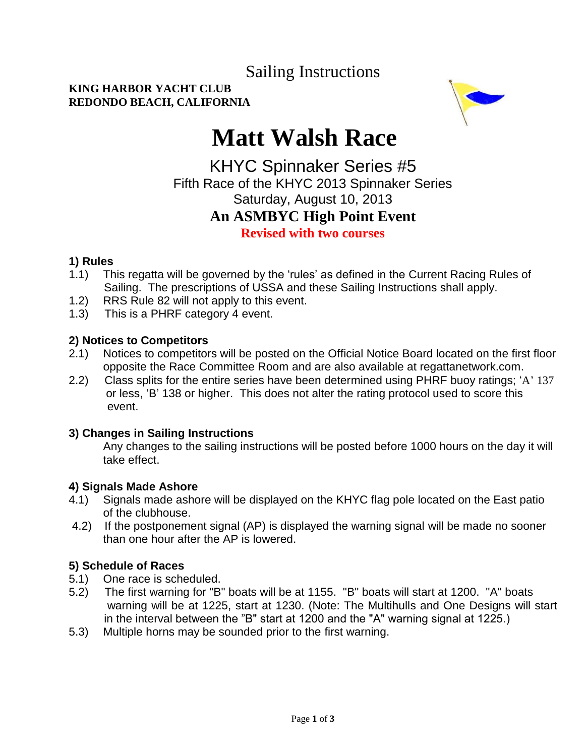Sailing Instructions

#### **KING HARBOR YACHT CLUB REDONDO BEACH, CALIFORNIA**



# **Matt Walsh Race**

### KHYC Spinnaker Series #5 Fifth Race of the KHYC 2013 Spinnaker Series Saturday, August 10, 2013 **An ASMBYC High Point Event Revised with two courses**

#### **1) Rules**

- 1.1) This regatta will be governed by the 'rules' as defined in the Current Racing Rules of Sailing. The prescriptions of USSA and these Sailing Instructions shall apply.
- 1.2) RRS Rule 82 will not apply to this event.
- 1.3) This is a PHRF category 4 event.

#### **2) Notices to Competitors**

- 2.1) Notices to competitors will be posted on the Official Notice Board located on the first floor opposite the Race Committee Room and are also available at regattanetwork.com.
- 2.2) Class splits for the entire series have been determined using PHRF buoy ratings; 'A' 137 or less, 'B' 138 or higher. This does not alter the rating protocol used to score this event.

#### **3) Changes in Sailing Instructions**

Any changes to the sailing instructions will be posted before 1000 hours on the day it will take effect.

#### **4) Signals Made Ashore**

- 4.1) Signals made ashore will be displayed on the KHYC flag pole located on the East patio of the clubhouse.
- 4.2) If the postponement signal (AP) is displayed the warning signal will be made no sooner than one hour after the AP is lowered.

#### **5) Schedule of Races**

- 5.1) One race is scheduled.
- 5.2) The first warning for "B" boats will be at 1155. "B" boats will start at 1200. "A" boats warning will be at 1225, start at 1230. (Note: The Multihulls and One Designs will start in the interval between the "B" start at 1200 and the "A" warning signal at 1225.)
- 5.3) Multiple horns may be sounded prior to the first warning.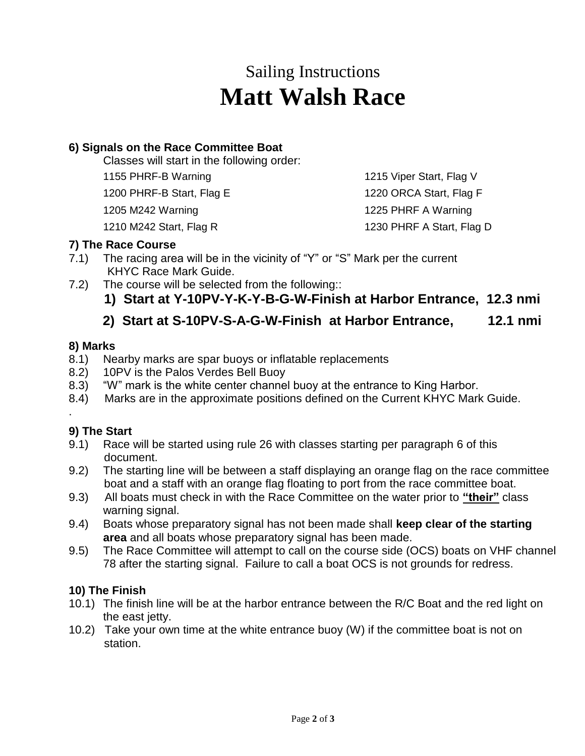## Sailing Instructions **Matt Walsh Race**

#### **6) Signals on the Race Committee Boat**

Classes will start in the following order:

1155 PHRF-B Warning

1200 PHRF-B Start, Flag E

1205 M242 Warning

1210 M242 Start, Flag R

1215 Viper Start, Flag V 1220 ORCA Start, Flag F 1225 PHRF A Warning

1230 PHRF A Start, Flag D

#### **7) The Race Course**

- 7.1) The racing area will be in the vicinity of "Y" or "S" Mark per the current KHYC Race Mark Guide.
- 7.2) The course will be selected from the following::
	- **1) Start at Y-10PV-Y-K-Y-B-G-W-Finish at Harbor Entrance, 12.3 nmi**

### **2) Start at S-10PV-S-A-G-W-Finish at Harbor Entrance, 12.1 nmi**

#### **8) Marks**

- 8.1) Nearby marks are spar buoys or inflatable replacements
- 8.2) 10PV is the Palos Verdes Bell Buoy
- 8.3) "W" mark is the white center channel buoy at the entrance to King Harbor.
- 8.4) Marks are in the approximate positions defined on the Current KHYC Mark Guide.

#### **9) The Start**

.

- 9.1) Race will be started using rule 26 with classes starting per paragraph 6 of this document.
- 9.2) The starting line will be between a staff displaying an orange flag on the race committee boat and a staff with an orange flag floating to port from the race committee boat.
- 9.3) All boats must check in with the Race Committee on the water prior to **"their"** class warning signal.
- 9.4) Boats whose preparatory signal has not been made shall **keep clear of the starting area** and all boats whose preparatory signal has been made.
- 9.5) The Race Committee will attempt to call on the course side (OCS) boats on VHF channel 78 after the starting signal. Failure to call a boat OCS is not grounds for redress.

#### **10) The Finish**

- 10.1) The finish line will be at the harbor entrance between the R/C Boat and the red light on the east jetty.
- 10.2) Take your own time at the white entrance buoy (W) if the committee boat is not on station.